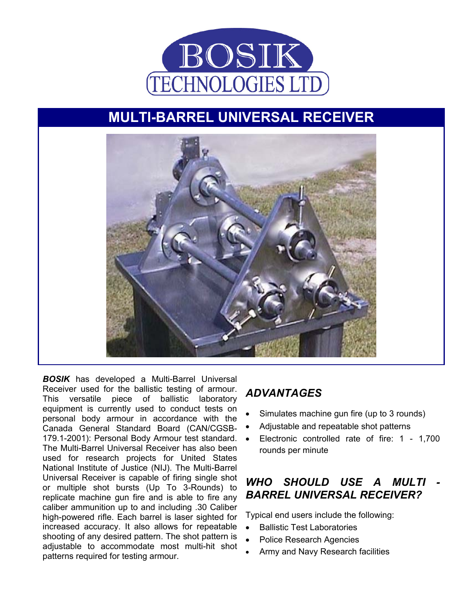

# **MULTI-BARREL UNIVERSAL RECEIVER**



*BOSIK* has developed a Multi-Barrel Universal Receiver used for the ballistic testing of armour. This versatile piece of ballistic laboratory equipment is currently used to conduct tests on personal body armour in accordance with the Canada General Standard Board (CAN/CGSB-179.1-2001): Personal Body Armour test standard. • The Multi-Barrel Universal Receiver has also been used for research projects for United States National Institute of Justice (NIJ). The Multi-Barrel Universal Receiver is capable of firing single shot or multiple shot bursts (Up To 3-Rounds) to replicate machine gun fire and is able to fire any caliber ammunition up to and including .30 Caliber high-powered rifle. Each barrel is laser sighted for increased accuracy. It also allows for repeatable shooting of any desired pattern. The shot pattern is adjustable to accommodate most multi-hit shot patterns required for testing armour.

#### *ADVANTAGES*

- Simulates machine gun fire (up to 3 rounds)
- Adjustable and repeatable shot patterns
- Electronic controlled rate of fire: 1 1,700 rounds per minute

### *WHO SHOULD USE A MULTI - BARREL UNIVERSAL RECEIVER?*

Typical end users include the following:

- Ballistic Test Laboratories
- Police Research Agencies
- Army and Navy Research facilities